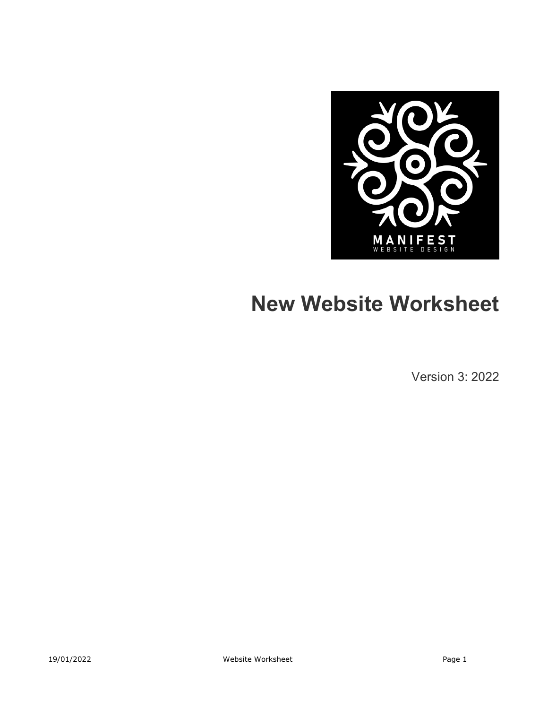

# **New Website Worksheet**

Version 3: 2022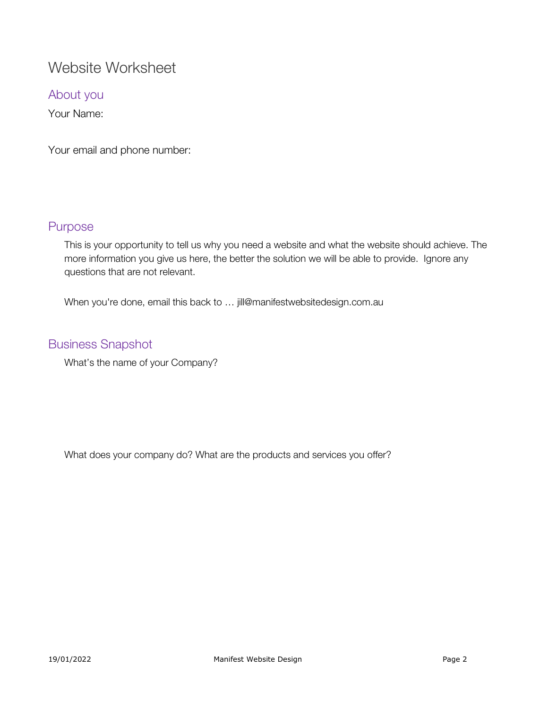## Website Worksheet

About you

Your Name:

Your email and phone number:

#### Purpose

This is your opportunity to tell us why you need a website and what the website should achieve. The more information you give us here, the better the solution we will be able to provide. Ignore any questions that are not relevant.

When you're done, email this back to ... jill@manifestwebsitedesign.com.au

#### Business Snapshot

What's the name of your Company?

What does your company do? What are the products and services you offer?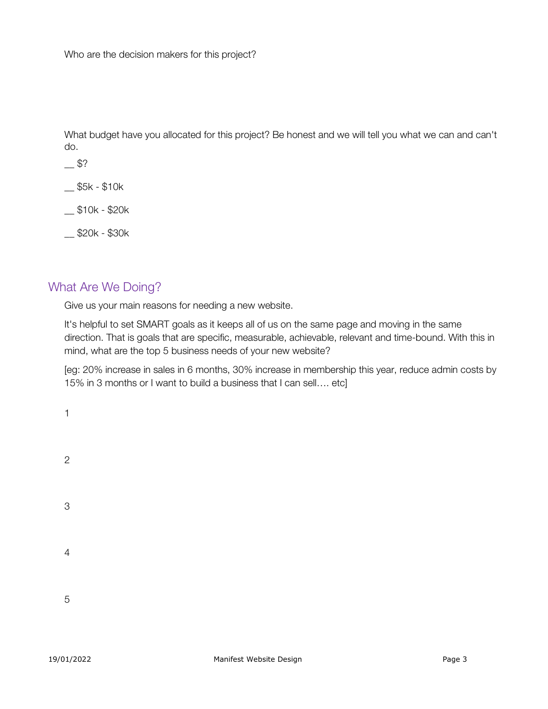What budget have you allocated for this project? Be honest and we will tell you what we can and can't do.

 $-$  \$5k - \$10k

\_\_ \$10k - \$20k

\_\_ \$20k - \$30k

#### What Are We Doing?

Give us your main reasons for needing a new website.

It's helpful to set SMART goals as it keeps all of us on the same page and moving in the same direction. That is goals that are specific, measurable, achievable, relevant and time-bound. With this in mind, what are the top 5 business needs of your new website?

[eg: 20% increase in sales in 6 months, 30% increase in membership this year, reduce admin costs by 15% in 3 months or I want to build a business that I can sell…. etc]

| $\mathbf{1}$   |  |  |  |
|----------------|--|--|--|
| $\overline{c}$ |  |  |  |
| 3              |  |  |  |
| $\overline{4}$ |  |  |  |
| 5              |  |  |  |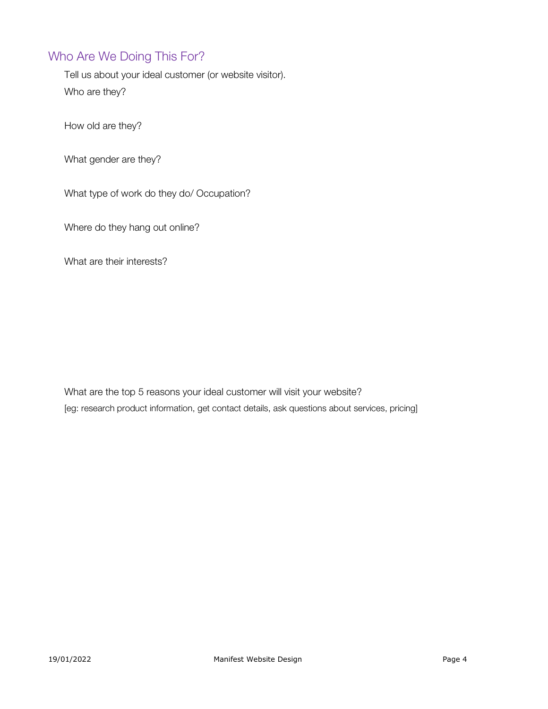## Who Are We Doing This For?

Tell us about your ideal customer (or website visitor). Who are they?

How old are they?

What gender are they?

What type of work do they do/ Occupation?

Where do they hang out online?

What are their interests?

What are the top 5 reasons your ideal customer will visit your website? [eg: research product information, get contact details, ask questions about services, pricing]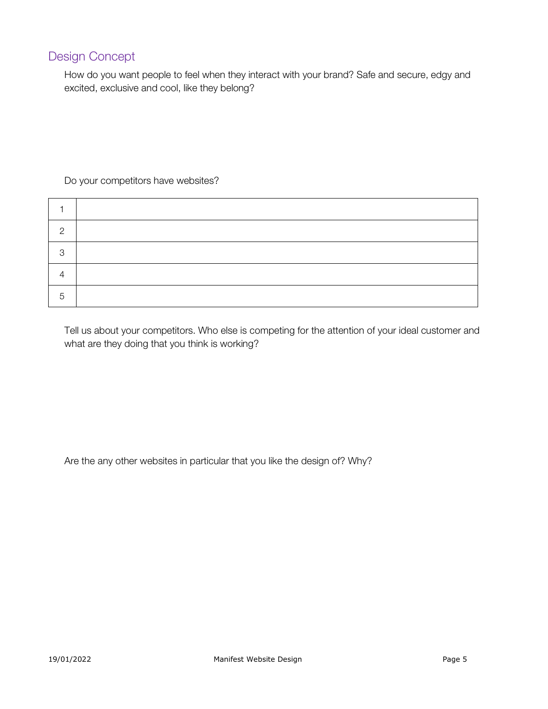## Design Concept

How do you want people to feel when they interact with your brand? Safe and secure, edgy and excited, exclusive and cool, like they belong?

#### Do your competitors have websites?

| റ |  |
|---|--|
| ◠ |  |
|   |  |
| b |  |

Tell us about your competitors. Who else is competing for the attention of your ideal customer and what are they doing that you think is working?

Are the any other websites in particular that you like the design of? Why?